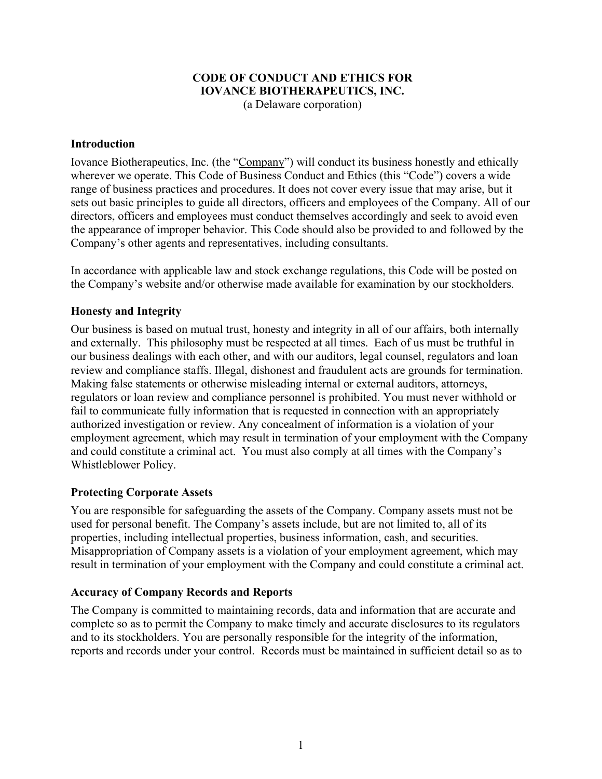#### **CODE OF CONDUCT AND ETHICS FOR IOVANCE BIOTHERAPEUTICS, INC.**  (a Delaware corporation)

#### **Introduction**

Iovance Biotherapeutics, Inc. (the "Company") will conduct its business honestly and ethically wherever we operate. This Code of Business Conduct and Ethics (this "Code") covers a wide range of business practices and procedures. It does not cover every issue that may arise, but it sets out basic principles to guide all directors, officers and employees of the Company. All of our directors, officers and employees must conduct themselves accordingly and seek to avoid even the appearance of improper behavior. This Code should also be provided to and followed by the Company's other agents and representatives, including consultants.

In accordance with applicable law and stock exchange regulations, this Code will be posted on the Company's website and/or otherwise made available for examination by our stockholders.

### **Honesty and Integrity**

Our business is based on mutual trust, honesty and integrity in all of our affairs, both internally and externally. This philosophy must be respected at all times. Each of us must be truthful in our business dealings with each other, and with our auditors, legal counsel, regulators and loan review and compliance staffs. Illegal, dishonest and fraudulent acts are grounds for termination. Making false statements or otherwise misleading internal or external auditors, attorneys, regulators or loan review and compliance personnel is prohibited. You must never withhold or fail to communicate fully information that is requested in connection with an appropriately authorized investigation or review. Any concealment of information is a violation of your employment agreement, which may result in termination of your employment with the Company and could constitute a criminal act. You must also comply at all times with the Company's Whistleblower Policy.

#### **Protecting Corporate Assets**

You are responsible for safeguarding the assets of the Company. Company assets must not be used for personal benefit. The Company's assets include, but are not limited to, all of its properties, including intellectual properties, business information, cash, and securities. Misappropriation of Company assets is a violation of your employment agreement, which may result in termination of your employment with the Company and could constitute a criminal act.

### **Accuracy of Company Records and Reports**

The Company is committed to maintaining records, data and information that are accurate and complete so as to permit the Company to make timely and accurate disclosures to its regulators and to its stockholders. You are personally responsible for the integrity of the information, reports and records under your control. Records must be maintained in sufficient detail so as to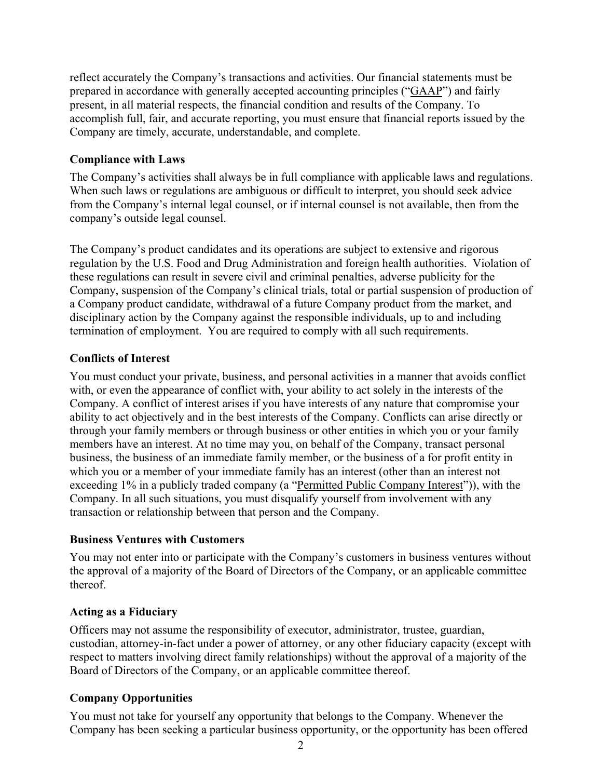reflect accurately the Company's transactions and activities. Our financial statements must be prepared in accordance with generally accepted accounting principles ("GAAP") and fairly present, in all material respects, the financial condition and results of the Company. To accomplish full, fair, and accurate reporting, you must ensure that financial reports issued by the Company are timely, accurate, understandable, and complete.

# **Compliance with Laws**

The Company's activities shall always be in full compliance with applicable laws and regulations. When such laws or regulations are ambiguous or difficult to interpret, you should seek advice from the Company's internal legal counsel, or if internal counsel is not available, then from the company's outside legal counsel.

The Company's product candidates and its operations are subject to extensive and rigorous regulation by the U.S. Food and Drug Administration and foreign health authorities. Violation of these regulations can result in severe civil and criminal penalties, adverse publicity for the Company, suspension of the Company's clinical trials, total or partial suspension of production of a Company product candidate, withdrawal of a future Company product from the market, and disciplinary action by the Company against the responsible individuals, up to and including termination of employment. You are required to comply with all such requirements.

# **Conflicts of Interest**

You must conduct your private, business, and personal activities in a manner that avoids conflict with, or even the appearance of conflict with, your ability to act solely in the interests of the Company. A conflict of interest arises if you have interests of any nature that compromise your ability to act objectively and in the best interests of the Company. Conflicts can arise directly or through your family members or through business or other entities in which you or your family members have an interest. At no time may you, on behalf of the Company, transact personal business, the business of an immediate family member, or the business of a for profit entity in which you or a member of your immediate family has an interest (other than an interest not exceeding 1% in a publicly traded company (a "Permitted Public Company Interest")), with the Company. In all such situations, you must disqualify yourself from involvement with any transaction or relationship between that person and the Company.

# **Business Ventures with Customers**

You may not enter into or participate with the Company's customers in business ventures without the approval of a majority of the Board of Directors of the Company, or an applicable committee thereof.

# **Acting as a Fiduciary**

Officers may not assume the responsibility of executor, administrator, trustee, guardian, custodian, attorney-in-fact under a power of attorney, or any other fiduciary capacity (except with respect to matters involving direct family relationships) without the approval of a majority of the Board of Directors of the Company, or an applicable committee thereof.

# **Company Opportunities**

You must not take for yourself any opportunity that belongs to the Company. Whenever the Company has been seeking a particular business opportunity, or the opportunity has been offered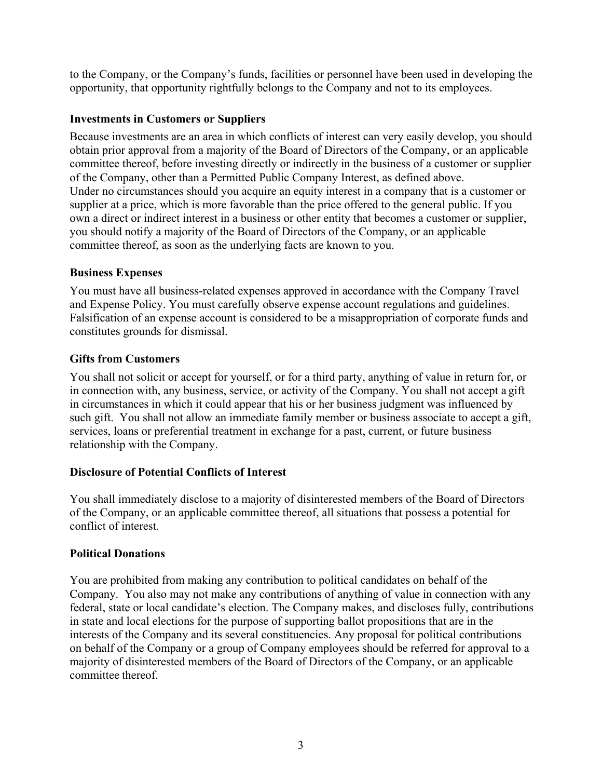to the Company, or the Company's funds, facilities or personnel have been used in developing the opportunity, that opportunity rightfully belongs to the Company and not to its employees.

## **Investments in Customers or Suppliers**

Because investments are an area in which conflicts of interest can very easily develop, you should obtain prior approval from a majority of the Board of Directors of the Company, or an applicable committee thereof, before investing directly or indirectly in the business of a customer or supplier of the Company, other than a Permitted Public Company Interest, as defined above. Under no circumstances should you acquire an equity interest in a company that is a customer or supplier at a price, which is more favorable than the price offered to the general public. If you own a direct or indirect interest in a business or other entity that becomes a customer or supplier, you should notify a majority of the Board of Directors of the Company, or an applicable committee thereof, as soon as the underlying facts are known to you.

## **Business Expenses**

You must have all business-related expenses approved in accordance with the Company Travel and Expense Policy. You must carefully observe expense account regulations and guidelines. Falsification of an expense account is considered to be a misappropriation of corporate funds and constitutes grounds for dismissal.

## **Gifts from Customers**

You shall not solicit or accept for yourself, or for a third party, anything of value in return for, or in connection with, any business, service, or activity of the Company. You shall not accept a gift in circumstances in which it could appear that his or her business judgment was influenced by such gift. You shall not allow an immediate family member or business associate to accept a gift, services, loans or preferential treatment in exchange for a past, current, or future business relationship with the Company.

### **Disclosure of Potential Conflicts of Interest**

You shall immediately disclose to a majority of disinterested members of the Board of Directors of the Company, or an applicable committee thereof, all situations that possess a potential for conflict of interest.

## **Political Donations**

You are prohibited from making any contribution to political candidates on behalf of the Company. You also may not make any contributions of anything of value in connection with any federal, state or local candidate's election. The Company makes, and discloses fully, contributions in state and local elections for the purpose of supporting ballot propositions that are in the interests of the Company and its several constituencies. Any proposal for political contributions on behalf of the Company or a group of Company employees should be referred for approval to a majority of disinterested members of the Board of Directors of the Company, or an applicable committee thereof.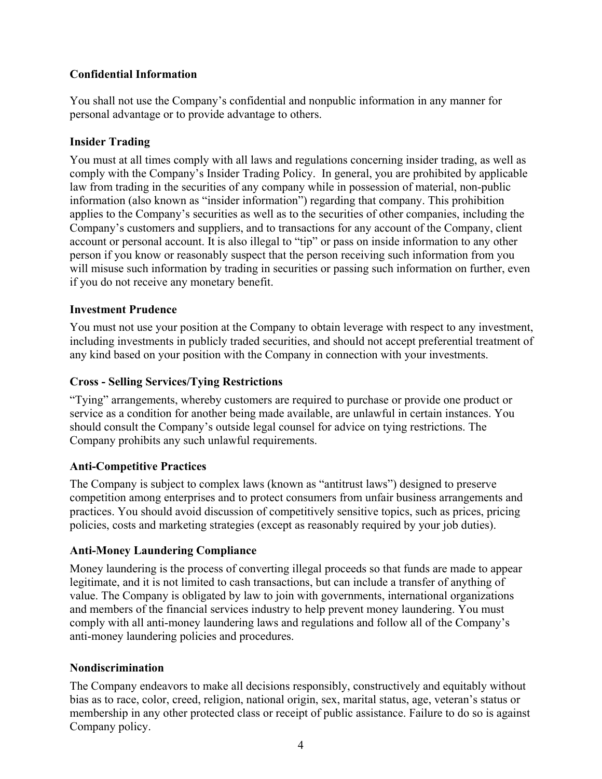# **Confidential Information**

You shall not use the Company's confidential and nonpublic information in any manner for personal advantage or to provide advantage to others.

## **Insider Trading**

You must at all times comply with all laws and regulations concerning insider trading, as well as comply with the Company's Insider Trading Policy. In general, you are prohibited by applicable law from trading in the securities of any company while in possession of material, non-public information (also known as "insider information") regarding that company. This prohibition applies to the Company's securities as well as to the securities of other companies, including the Company's customers and suppliers, and to transactions for any account of the Company, client account or personal account. It is also illegal to "tip" or pass on inside information to any other person if you know or reasonably suspect that the person receiving such information from you will misuse such information by trading in securities or passing such information on further, even if you do not receive any monetary benefit.

## **Investment Prudence**

You must not use your position at the Company to obtain leverage with respect to any investment, including investments in publicly traded securities, and should not accept preferential treatment of any kind based on your position with the Company in connection with your investments.

## **Cross - Selling Services/Tying Restrictions**

"Tying" arrangements, whereby customers are required to purchase or provide one product or service as a condition for another being made available, are unlawful in certain instances. You should consult the Company's outside legal counsel for advice on tying restrictions. The Company prohibits any such unlawful requirements.

## **Anti-Competitive Practices**

The Company is subject to complex laws (known as "antitrust laws") designed to preserve competition among enterprises and to protect consumers from unfair business arrangements and practices. You should avoid discussion of competitively sensitive topics, such as prices, pricing policies, costs and marketing strategies (except as reasonably required by your job duties).

## **Anti-Money Laundering Compliance**

Money laundering is the process of converting illegal proceeds so that funds are made to appear legitimate, and it is not limited to cash transactions, but can include a transfer of anything of value. The Company is obligated by law to join with governments, international organizations and members of the financial services industry to help prevent money laundering. You must comply with all anti-money laundering laws and regulations and follow all of the Company's anti-money laundering policies and procedures.

## **Nondiscrimination**

The Company endeavors to make all decisions responsibly, constructively and equitably without bias as to race, color, creed, religion, national origin, sex, marital status, age, veteran's status or membership in any other protected class or receipt of public assistance. Failure to do so is against Company policy.